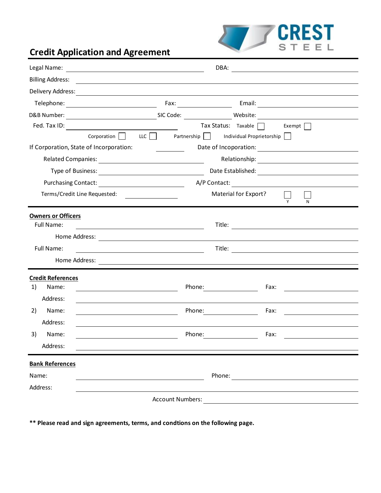

## **Credit Application and Agreement**

| Legal Name:                             | <u> 1989 - Johann Barbara, martin amerikan basar da</u>                                                               | DBA:                                                                                                                                                                                                                                   |                                                    |
|-----------------------------------------|-----------------------------------------------------------------------------------------------------------------------|----------------------------------------------------------------------------------------------------------------------------------------------------------------------------------------------------------------------------------------|----------------------------------------------------|
| <b>Billing Address:</b>                 | <u> 1989 - Johann Barnett, fransk politiker (d. 1989)</u>                                                             |                                                                                                                                                                                                                                        |                                                    |
|                                         |                                                                                                                       |                                                                                                                                                                                                                                        |                                                    |
|                                         |                                                                                                                       |                                                                                                                                                                                                                                        |                                                    |
|                                         |                                                                                                                       |                                                                                                                                                                                                                                        |                                                    |
|                                         |                                                                                                                       | $\frac{1}{2}$ Tax Status: Taxable $\Box$ Exempt $\Box$                                                                                                                                                                                 |                                                    |
| Corporation                             |                                                                                                                       | LLC Partnership Individual Proprietorship                                                                                                                                                                                              |                                                    |
| If Corporation, State of Incorporation: |                                                                                                                       | Date of Incoporation:                                                                                                                                                                                                                  |                                                    |
|                                         |                                                                                                                       |                                                                                                                                                                                                                                        |                                                    |
|                                         |                                                                                                                       |                                                                                                                                                                                                                                        |                                                    |
|                                         |                                                                                                                       | A/P Contact: 2008 2012 2022 2023 2024 2022 2022 2023 2024 2022 2023 2024 2022 2023 2024 2022 2023 2024 2022 20                                                                                                                         |                                                    |
| Terms/Credit Line Requested:            | <u> 1990 - Andrea State Barbara, poeta esp</u>                                                                        | Material for Export?                                                                                                                                                                                                                   |                                                    |
| <b>Owners or Officers</b>               |                                                                                                                       |                                                                                                                                                                                                                                        |                                                    |
| Full Name:                              | <u> 1980 - Johann Barn, mars ann an t-Amhain Aonaich an t-Aonaich an t-Aonaich an t-Aonaich an t-Aonaich an t-Aon</u> | Title:                                                                                                                                                                                                                                 | <u> 1989 - John Stein, Amerikaansk politiker (</u> |
|                                         |                                                                                                                       |                                                                                                                                                                                                                                        |                                                    |
| Full Name:                              | <u> 1989 - Johann Barn, fransk politik fotograf (d. 1989)</u>                                                         |                                                                                                                                                                                                                                        |                                                    |
| Home Address:                           |                                                                                                                       | <u> 1989 - Johann Stoff, Amerikaansk politiker († 1908)</u>                                                                                                                                                                            |                                                    |
| <b>Credit References</b>                |                                                                                                                       |                                                                                                                                                                                                                                        |                                                    |
| 1)<br>Name:                             |                                                                                                                       | Phone: and the state of the state of the state of the state of the state of the state of the state of the state of the state of the state of the state of the state of the state of the state of the state of the state of the<br>Fax: | the contract of the contract of the contract of    |
| Address:                                |                                                                                                                       |                                                                                                                                                                                                                                        |                                                    |
| 2)<br>Name:                             |                                                                                                                       | Phone: The Contract of the Contract of The Contract of The Contract of The Contract of The Contract of The Contract of The Contract of The Contract of The Contract of The Contract of The Contract of The Contract of The Con<br>Fax: |                                                    |
| Address:                                |                                                                                                                       |                                                                                                                                                                                                                                        |                                                    |
| 3)<br>Name:                             | Phone:                                                                                                                | Fax:                                                                                                                                                                                                                                   |                                                    |
| Address:                                |                                                                                                                       |                                                                                                                                                                                                                                        |                                                    |
| <b>Bank References</b>                  |                                                                                                                       |                                                                                                                                                                                                                                        |                                                    |
| Name:                                   |                                                                                                                       | Phone: <u>____________________</u>                                                                                                                                                                                                     |                                                    |
| Address:                                |                                                                                                                       |                                                                                                                                                                                                                                        |                                                    |
| <b>Account Numbers:</b>                 |                                                                                                                       |                                                                                                                                                                                                                                        |                                                    |

**\*\* Please read and sign agreements, terms, and condtions on the following page.**